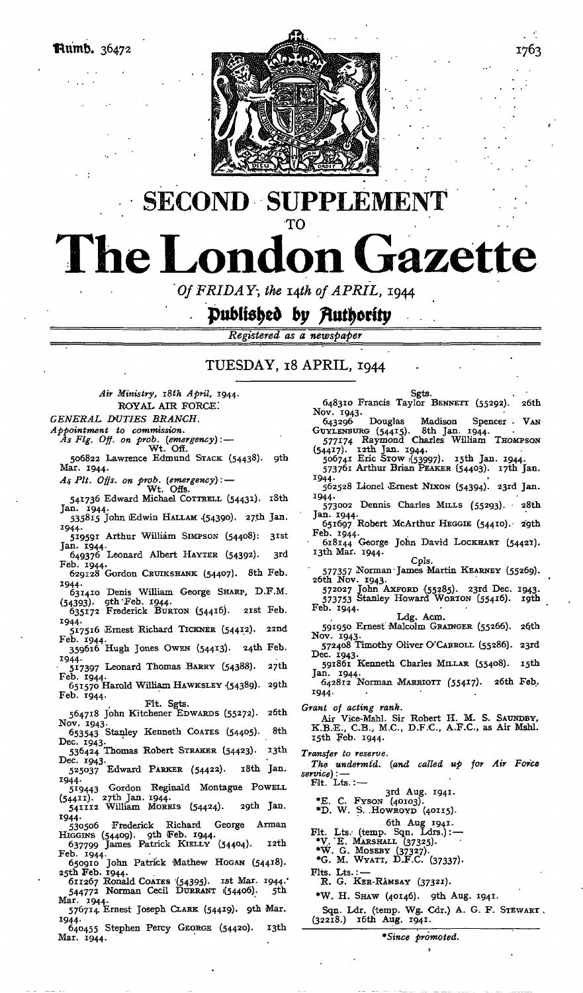

# PPLEMENT **SECOND** S  $\ddot{\phantom{a}}$ TO **The London Gazette**

*Of FRIDAY*, the 14th of APRIL, 1944

# Published by Authority

*Registered as a newspaper*

## TUESDAY, 18 APRIL, 1944

*Air Ministry, iSth April,* 1944. ROYAL AIR FORCE! *GENERAL DUTIES BRANCH. Appointment to commission. As Fig. Off. on prob. (emergency):* — Wt.`Off.

506822 Lawrence Edmund STACK (54438). gth Mar. 1944.

*A\$ Pit. Offs. on prob. (emergency):* — Wt. Ofis.

541736 Edward Michael COTTRELL (54431). 18th<br>Jan. 1944. Jan. 1944.<br>535815 John Edwin HALLAM (54390). 27th Jan.

1944. 519591 Arthur William SIMPSON (54408): 31st Jan. 1944. 6 4937<sup>6</sup> Leonard Albert HAYTER (54392). 3rd

Feb. 1944. Feb. 1944.<br>629128 Gordon CRUIKSHANK (54407). 8th Feb.

1944. 631410 Denis William George SHARP, D.F.M.

(54393)- 9th "Feb. 1944. 635172 Frederick BURTON (54416). 2ist Feb. 1944.

517516 Ernest Richard TICKNER (54412). 22nd Feb. 1944- 359616 Hugh Jones OWEN (54413')- 24th Feb.

1944. • 517397 Leonard Thomas BARRY (54388). *zjib.*

Feb. 1944. 651570 Harold William HAWKSLEY '(54389). 29th Feb. 1944.

Fit. Sgts. 564718 John Kitchener EDWARDS (55272)- 26th Nov. 1943.

653543 Stanley Kenneth COATES (54405). 8th Dec. 1943.<br>536424 Thomas Robert STRAKER (54423). 13th

Dec. 1943. <sub>525037</sub> Edward PARKER (54422). 18th Jan.

1944.<br>519443 519443 Gordon Reginald Montague POWELL

(54411). 2?th Jan. 1944. 541112 William MORRIS (54424). 2gth Jan. 1944.<br>-- 530506

530506 Frederick Richard George Annan HIGGINS (54409). gth Feb. 1944. 637799 James Patrick KIELLY (54404). i2th

Feb. 1944. 650910 John Patrick Mathew HOGAN (54418).

25th Feb. 1944. 611267 Ronald COATES '(54395)- "t Mar. 1944." 544772 Norman Cecil DURRANT 1(54406). 5th

Mar. 1944. Mar. 1944.<br>576714 Ernest Joseph CLARK (54419). 9th Mar.

1944.

640455 Stephen Percy GEORGE (54420). 13th Mar. 1944.

Sgts. . • 648310 Francis Taylor BENNETT (55292). 26th Nov. 1943.<br>643296 643296 Douglas Madison Spencer - VAN GUYLENBURG (54415). 8th Jan. 1944. 577174 Raymond Charles William THOMPSON<br>
506741 Eric STOW (53997). 15th Jan. 1944.<br>
573761 Arthur Brian PEAKER (54403). 17th Jan. 1944. 562528 Lionel Ernest NIXON (54394). 23rd Jan. 1944. 573002 Dennis Charles MILLS (55293). • 28th Jan. 1944.<br>651697 Robert McArthur HEGGIE (54410). 29th Feb. 1944.<br>
618144 George John David LOCKHART (54421).<br>
13th Mar. 1944.<br>
Cpls. 577357 Norman • James Martin KEARNEY (55269). 26th Nov. 1943. 572027 John AXFORD {55285). 23rd Dec. 1943. 573753 Stanley Howard WORTON (55416). igth Feb. 1944. Ldg. Acm. 591950 Ernest Malcolm GRAINGER (55266). 26th Nov. 1943.<br>572408 Timothy Oliver O'Carroll (55286). 23rd Dec. 1943. Dec. 1943.<br>591861 Kenneth Charles MILLAR (55408). 15th Jan. 1944. 642812 Norman MARRIOTT (55417). 26th Feb. 1944- *Grant of acting rank.* Air Vice-Mshl. Sir Robert H. M. S. SAUNDBY, K.B.E., C.B., M.C., D.F.C., A.F.C., as Air Mshl. i5th Feb. 1944. *Transfer to reserve. The undermt'd. (and called up for Air Force service)'.* —  $F$ lt. Lts.: $-$ 3rd Aug. 1941. \*E. C. FYSON (40103). \*D. W. S. .HOWROYD (40115). 6th Aug 1941.<br>Fit. Lts. (temp. Sqn. Ldrs.): ---<br>\*V. E. Marshall (37325).<br>\*W. G. Moseby (37327). \*G. M. WYATT, D.F.C. (37337)- Fits. Lts. R. G. KER-RAMSAY (37321). \*W. H. SHAW (40146). gth Aug. 1941.

Sqn. Ldr. (temp. Wg. Cdr.) A. G. F. STEWART.<br>(32218.) 16th Aug. 1941.

*\*Since promoted.*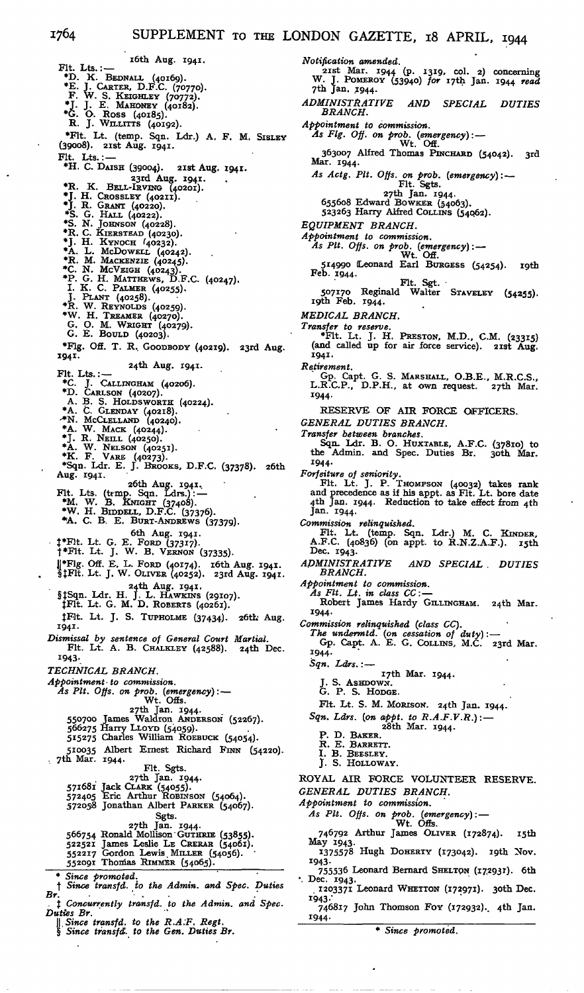i6th Aug. 1941. Fit. Lts.: — <br>
\*D. K. BEDNALL (40169).<br>
\*E. J. CARTER, D.F.C. (70770).<br>
F. W. S. KEIGHLEY (70772).<br>
\*J. J. E. MAHONEY (40182).<br>
\*G. O. ROSS (40185).<br>
R. J. WILLITTS (40192). \*Flt. Lt. (temp. Sqn. Ldr.) A. F. M. SISLEY (39008). 2ist Aug. 1941.  $F1t.$  Lts.: — \*H. C. DAISH (39004). 2ist Aug. 1941. \*R. K. BELL-IRVING (40201).<br>\*J. H. CROSSLEY (40211).<br>\*J. H. CRANT (40220).<br>\*S. G. HALL (40222).<br>\*S. N. JOHNSON (40228). \*R. C. KIERSTEAD (40230).<br>\*J. H. KYNOCH (40232).<br>\*R. L. McDOWELL (40242).<br>\*R. M. MACKENZIE (40243).<br>\*C. N. MCVEIGH (40243).<br>\*P. G. H. MATTHEWS, D.F.C. (40247).<br>1. K. C. PALMER (40255).<br>J. PLANT (40258).<br>\*R. W. REYNOLDS (40 \*Flg. Off. T. R. GOODBODY (40219). 23rd Aug. 1941. 74th Aug. 1941.<br>
Fit. Lts.:  $-$  24th Aug. 1941.<br>
\*C. J. CALLINGHAM (40206).<br>
\*D. CARLSON (40207).<br>
A. B. S. HOLDSWORTH (40224).<br>
\*A. C. GLENDAY (40218).<br>
\*M. MCCLELLAND (40240).<br>
\*A. W. MACK (40240).<br>
\*A. W. NELSON (40251) 26th Aug. 1941.<br>Fit. Lts. (temp. Sqn. Ldrs.): —<br>
\*M. W. B. KNIGHT (37408).<br>
\*W. H. BIDDELL, D.F.C. (37376).<br>
\*A. C. B. E. BURT-ANDREWS (37379). 6th Aug. 1941. J\*Flt. Lt. G. E. FORD (37317). t\*Flt. Lt. J. W. B. VERNON (37335). JJ\*Flg. Off. E. L. FORD (40174). i6th Aug. 1941. SjFlt. Lt. J. W. OLIVER (40252). 23rd Aug. 1941. 24th Aug. 1941.<br>§‡Sqn. Ldr. H. J. L. Hawkins (29107).<br>‡Flt. Lt. G. M. D. ROBERTS (40261). JFlt. Lt. J. S. TUPHOLME (37434). 26tL- Aug. 1941. *Dismissal by sentence of General Court Martial.* Fit. Lt. A. B. CHALKLEY (42588). 24th Dec. 1943- *TECHNICAL BRANCH. Appointment• to commission. As Pit. Offs. on prob.* (*emergency*): —<br>
Wt. Offs.<br>
27th Jan. 1944.<br>
550700 James Waldron ANDERSON (52267).<br>
566275 Harry LLoyd (54059).<br>
515275 Charles William ROEBUCK (54054). 510035 Albert Ernest Richard FINN (54220). . 7th Mar. 1944. Fit. Sgts. 27th Jan. 1944.<br>571681 Jack CLARK (54055).<br>572405 Eric Arthur ROBINSON (54064). 572058 Jonathan Albert PARKER (54067). Sgts. 27th Jan. 1944.<br>566754 Ronald Mollison GUTHRIE (53855).<br>522257 Gordon Lewis MILLER (54061).<br>552207 Thomas RIMMER (54065).<br>552091 Thomas RIMMER (54065). \* *Since promoted.* f *Since transfd. to the Admin, and Spec. Duties Br. • .* f *Concurrently transfd. to the Admin, and Spec. Duties Br. \\\_Since transfd. to the R.A.F. Regt.* § *Since transfd. to the Gen. Duties Br.*

*Notification amended.*<br>21st Mar. 1944 (p. 1319, col. 2) concerning<br>W. J. POMEROY (53940) for 17th Jan. 1944 read 7th Jan. 1944. *ADMINISTRATIVE AND SPECIAL DUTIES BRANCH. Appointment to commission. As Fig. Off. on prob. (emergency):* — Wt. Off. 363007 Alfred Thomas PINCHARD (54042). 3rd Mar. 1944. *As Actg. Pit. Offs. on prob. (emergency):* — Fit. Sgts. 27th Jan. 1944. 655608 Edward BOWKER (54063). 523263 Harry Alfred COLLINS (54062). *EQUIPMENT BRANCH. Appointment to commission. As Pit. Offs. on prob. (emergency)*: --<br>Wt. Off.<br>514990 Leonard Earl BURGESS (54254). 19th Feb. 1944. Fit. Sgt. • 507170 Reginald Walter STAVELEY (54255). i9th Feb. 1944. *MEDICAL BRANCH. Transfer to reserve.* \*Flt. Lt. J. H. PRESTON, M.D., C.M. (23315) (and called up for air force service). 2ist Aug. 1941. *Retirement.* Gp. Capt. G. S. MARSHALL, O.B.E., M.R.C.S., L.R.C.P., D.P.H., at own request. 27th Mar. 1944. RESERVE OF AIR FORCE OFFICERS. *GENERAL DUTIES BRANCH. Transfer between branches.* Sqn. Ldr. B. O. HUXTABLE, A.F.C. (37810) to the Admin, and Spec. Duties Br. 3oth Mar. 1944- Forfeiture of seniority.<br>
Fit. Lt. J. P. THOMPSON (40032) takes rank<br>
and precedence as if his appt. as Fit. Lt. bore date<br>
4th Jan. 1944. Reduction to take effect from 4th<br>
Jan. 1944. *Commission relinquished.* Fit. Lt. (temp. Sqn. Ldr.) M. C. KINDER,  $A.F.C.$  (40836) (on appt. to  $R.N.Z.A.F.$ ).  $I5th$ Dec. 1943. *ADMINISTRATIVE AND SPECIAL . DUTIES BRANCH. Appointment to commission. As Fit. Lt. in class CC:* — Robert James Hardy GILLINGHAM. 24th Mar. 1944. *Commission relinquished (class CC). The undermtd. (on cessation of duty):* — Gp. Capt. A. E. G. COLLINS, M.C. 23rd Mar. 1944. *Sqn. Ldrs.:* i7th Mar. 1944. J. S. Ashbown.<br>G. P. S. Hodge. Fit. Lt. S. M. MORISON. 24th Jan. 1944. *Sqn. Ldrs. (on appt. to R.A.F.V.R.): —* 28th Mar. 1944. P. D. BAKER. R. E. BARRETT. I. B. BEESLEY. J. S. HOLLOWAY. ROYAL AIR FORCE VOLUNTEER RESERVE. *GENERAL DUTIES BRANCH. Appointment to commission. As Pit. Offs. on prob. (emergency):* — Wt. Offs. 746792 Arthur James OLIVER (172874). i5th May 1943. 1375578 Hugh DOHERTY (173042). igth Nov. 1943-  $755536$  Leonard Bernard SHELTON (172931). 6th<br>ec. 1943. · Dec. 1203371 Leonard WHETTON (172971). 3oth Dec.

- 1943 •'
- 746817 John Thomson Fov (172932). 4th Jan. 1944-

\* *Since promoted.*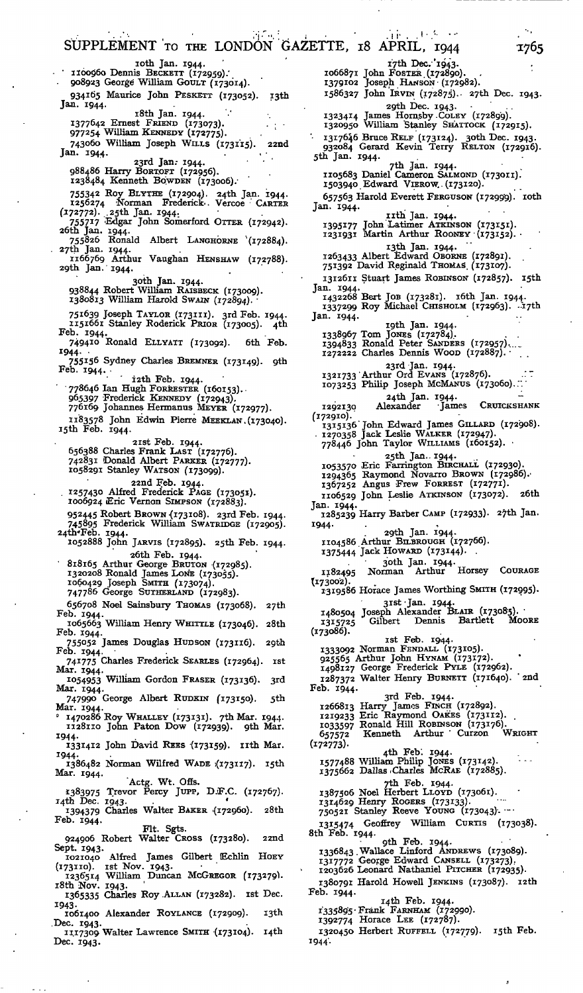SUPPLEMENT TO THE LONDON GAZETTE, 18 APRIL, 1944 1765  $\mathbf{r}$ ioth Jan. 1944. i'7th Dec. '1943. 1066871 John FOSTER.(172890). - ' iioo06o Dennis BECKETT (172959).' . 908923 George William GOULT (173014). 1379102 Joseph HANSON- (172982). 1586327 John IRVIN (172875). 27th Dec. 1943. 934165 Maurice John PESKETT (173052). 13th Jan. 1944. 29th Dec. 1943.<br>1323414 James Hornsby Coley (172899).<br>1320950 William Stanley SHATTOCK (172915). 18th Jan. 1944.<br>1377642 Ernest FRIEND (173073).<br>977254 William KENNEDY (172775). '• 1317646 Bruce RELF (173124). 3oth Dec. 1943. 932084 Gerard Kevin Terry RELTON (172916). 5th Jan. 1944. 743060 William Joseph WILLS (173115). 22nd Jan. 1944. 23rd Jan. 1944.<br>1984 86 Harry Bortort (172956).<br>1238484 Kenneth Bowden (173006). - 7th Jan. 1944.<br>1105683 Daniel Cameron SALMOND (173011).<br>1503940 Edward VIEROW. (173120). 755342 Roy BLYTHE (172904). 24th Jan. 1944. 1256274 'Norman Frederick-. Vercoe CARTER 657563 Harold Everett FERGUSON (172999). roth Jan. 1944. (.172772). .25th Jan. 1944. nth Jan. 1944.<br>1395177 John Latimer ATKINSON (173151).<br>1231931 Martin Arthur Rooney (173152). 755717 Edgar John Somerford OTTER (172942).<br>
26th Jan. 1944.<br>
755826 Ronald Albert LANGHORNE (172884).<br>
27th Jan. 1944. i3th Jan. 1944. 1263433 Albert Edward OBORNE (172891). 751392 David Reginald THOMAS'. (173107). 1166769 Arthur Vaughan HENSHAW (172788). 29th Jan. 1944. 1312611 Stuart James ROBINSON (172857). i5th 3oth Jan. 1944. 938844 Robert William RAISBECK (173009). 1380813 William Harold SWAIN (172894). • Jan. 1944.<br>1432268 Bert JOB (173281). 16th Jan. 1944.<br>1337299 Roy Michael CHISHOLM (172963). .17th 75l639 Joseph TAYLOR (173111). 3rd Feb. 1944. 1151661 Stanley Roderick PRIOR (173005). 4th Jan. 1944. igth Jan. 1944. Feb. 1944. 1338967 Tom JONEs (172784).<br>1394833 Ronald Peter SANDERS (172957)...<br>1272222 Charles Dennis Wood (172887). 749410 Ronald ELLYATT (173092). 6th Feb. 1944- • 755 *\*56* Sydney Charles BREMNER (173149). 9th Feb. 1944. • 23rd-Jan. 1944.<br>1321733 Arthur Ord Evans (172876). . . . . <del>.</del><br>1073253 Philip Joseph McManus (173060). 12th Feb. 1944.<br>
198646 Ian Hugh FORRESTER (160153).<br>
965397 Frederick KENNEDY (172943).<br>
776169 Johannes Hermanus MEYER (172977). 24th Jan. 1944<br>Alexander 1Jan 1292130 Alexander James CRUICKSHANK 1183578 John Edwin Pierre MEEKLAN. (173040).<br>15th Feb. 1944. (172910). 1315136" John Edward James GILLARD (172908). . 1270358 Jack Leslie WALKER (172947). 778446 John Taylor WILLIAMS (160152). • 2ist Feb. 1944. 656388 Charles Frank LAST (172776). 742831 Donald Albert PARKER (172777). 25th Jan. 1944.<br>1053570 Eric Farrington BIRCHALL (172930).<br>1294365 Raymond Novarro BROWN (172986). 1058291 Stanley WATSON (173099). 1367252 Angus Frew FORREST (172771). 22nd Feb. 1944. . 1257430 Alfred Frederick PAGE (173051). 1006924 Eric Vernon SIMPSON (172883). 1106529 John Leslie ATKINSON (173072). 26th Jan. 1944. 1285239 Harry Barber CAMP (172933)- 27th Jan - 952445 Robert Brown (173108). 23rd Feb. 1944. 745895 Frederick William SWATRIDGE (172905). 1944- 24th"Feb. 1944. 29th Jan. 1944. 1104586 Arthur BILBROUGH (172766). 1052888 John JARVIS (172895). 25th Feb. 1944. 1375444 Jack HOWARD (173144). 26th Feb. 1944.<br>
818165 Arthur George BRUTON (172985).<br>
1320208 Ronald James Lons (173055).<br>
1060429 Joseph SMITH (173074). 30th Jan. 1944.<br>1182495 Norman Arthur Horsey Courage 1182495<br>(173002). 1319586 Horace James Worthing SMITH (172995). 747786 George SUTHERLAND (172983). 31st Jan. 1944.<br>1480504 Joseph Alexander BLAIR (173085).<br>1315725 Gilbert Dennis Bartlett Moore 656708 Noel Sainsbury THOMAS (173068). 27th Feb. 1944. 1315725<br>(173086). 1065663 William Henry WHITTLE (173046). 28th Feb. 1944. ist Feb. 1944. 1333092 Norman FENDALL (173105). 925565 Arthur John HYNAM (173172). 1498127 George Frederick PYLE (172962). 755052 James Douglas HUDSON (173116). 29th Feb. 1944. • 741775 Charles Frederick SEARLES (172964). ist Mar. 1944. J 054953 William Gordon FRASER (173136). 3rd Mar. 1944. 1287372 Walter Henry BURNETT (171640). ' 2nd Feb. 1944. 3rd Feb. 1944.<br>1266813 Harry James FINCH (172892).<br>1219233 Eric Raymond OAKES (173112).<br>1033597 Ronald Hill ROBINSON (173176).<br>657572 Kenneth Arthur Curzon WRIGHT 747990 George Albert RUDKIN (173150). 5th Mar. 1944. 0 1470286 Roy WHALLEY (173131). 7th Mar. 1944. 1128110 John Paton Dow (172939). gth Mar. 1944- (172773). - 1331412 John David REES (173159). IIth Mar.<br>1944. 4th Feb. 1944. 1577488 William Philip JONES (173142). 1375662 Dallas .Charles McRAE (172885). 1944.<br>1386482 Norman Wilfred WADE (173117). 15th Mar. 1944. Actg. Wt. Offs.<br>1383975 Trevor Percy JUPP, D.F.C. (172767).<br>14th Dec. 1943.<br>28th Dec. 1943. 7th Feb. 1944.<br>1387506 Noel Herbert LLOYD (173061). 14th Dec. 1943.<br>
1394379 Charles Walter BAKER (172960). 28th 1314629 Henry ROGERS (173133).<br>750521 Stanley Reeve YOUNG (173043). Feb. 1944. 1315474 Geoffrey William CURTIS (173038). 8th Feb. 1944. Fit. Sgts. 924906 Robert Walter CROSS (173280). 22nd 9th Feb. 1944. • ' 1336843 .Wallace Linford ANDREWS (173089). Sept. 1943. 1021040 Alfred James Gilbert Echlin HOEY<br>
173110). ist Nov. 1943.<br>
1236514 William Duncan McGREGOR (173279).<br>
18th Nov. 1943.<br>
1365335 Charles Roy ALLAN (173282). Ist Dec. 1317772 George Edward CANSELL (173273). 1203626 Leonard Nathaniel PITCHER (172935). 1380791 Harold Howell JENKINS (173087). i2th Feb. 1944. 14th Feb. 1944. 1943. 1335895 • Frank FARNHAM (172990). 1392774 Horace LEE (172787). 1061400 Alexander ROYLANCE (172909). i3th .Dec. 1943. 1320450 Herbert RUFFELL (172779). 15th Feb. 1117309 Walter Lawrence SMITH '(173104). i4th Dec. 1943. 1944'-

s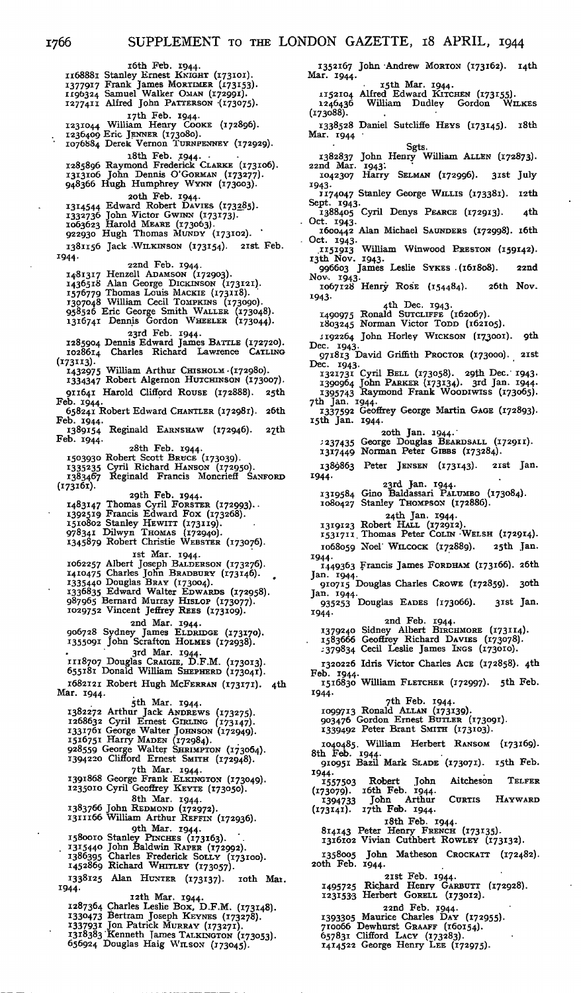Mar. 1944.

(173088).

Mar. 1944

168881 Stanley Ernest KNIGHT (173101).<br>1377917 Frank James Morrimere (173153).<br>1196324 Samuel Walker OMAN (172991).<br>1277411 Alfred John PATTERSON (173075). 17th Feb. 1944.<br>1231044 William Henry Cooke (172896).<br>1236409 Eric JENNER (173080).<br>1076884 Derek Vernon TURNPENNEY (172929). iSth Feb. 1944. • 1285896 Raymond Frederick CLARKE (173106). 1313106 John Dennis O'GORMAN (173277). 948366 Hugh Humphrey WYNN (173003). 2oth Feb. 1944. 1314544 Edward Robert Davies (173<u>2</u>85).<br>1332736 John Victor Gwinn (173173).<br>1063623 Harold Meare (173063).<br>922930 Hugh Thomas Mundy (173102). 1381156 Jack WILKINSON (173154). 2ist Feb. 1944. 22nd Feb. 1944. 1481317 Henzell ADAMSON (172903).<br>1436518 Alan George DICKINSON (173121).<br>1576779 Thomas Louis MackIE (173118).<br>1307048 William Cecil TOMPKINS (173090).<br>958526 Eric George Smith WALLER (173048).<br>1316741 Dennis Gordon WHEEL 23rd Feb. 1944. 1285904 Dennis Edward James BATTLE (172720). 1028614 Charles Richard Lawrence CATLING  $1028614$ <br>(173113). 1432975 William Arthur CHISHOLM-(172980). 1334347 Robert Algernon HUTCHINSON (173007). 911641 Harold Clifford ROUSE (172888). 25th Feb. 1944. 658241 Robert Edward CHANTLER (172981). 26th Feb. 1944. - 00 - 274.<br>I 1389154 Reginald EARNSHAW (172946). 27th<br>Feb. 1944. 28th Feb. 1944. I 5°393° Robert Scott BRUCE (173039). I 335<sup>2</sup> 35 Cyril Richard HANSON (172950). 1383467 Reginald Francis Moncrieff SANFORD (173161). 29th Feb. 1944.<br>1483147 Thomas Cyril Forster (172993).<br>1392519 Francis Edward Fox (173268).<br>1510802 Stanley Hewirr (173119).<br>978341 Dilwyn Thomas (172949).<br>1345879 Robert Christie WEBSTER (173076). rst Mar. 1944.<br>1062257 Albert Joseph BALDERSON (173276).<br>1410475 Charles John BRADBURY (173146). 1335440 Douglas BRAY (173004). 1336835 Edward Walter EDWARDS (172958). 987965 Bernard Murray HISLOP (173077). 1029752 Vincent Jeffrey REES (173109). 2nd Mar. 1944. 906728 Sydney James ELDRIDGE (173170). J35509I John Scrafton HOLMES (172938). 3rd Mar. 1944. 1118707 Douglas CRAIGIE, D.F.M. (173013). 655181 Donald William SHEPHERD (173041). 1682121 Robert Hugh McFERRAN (173171). 4th Mar. 1944. 5th Mar. 1944.<br>1382272 Arthur Jack ANDREWS (173275).<br>1268632 Cyril Ernest GIRLING (173147).<br>1331761 George Walter JOHNSON (172949).<br>1516751 Harry MADEN (172984). 928559 George Walter SHRIMPTON (173064). 1394220 Clifford Ernest SMITH (172948). 7th Mar. 1944.<br>1391868 George Frank Elkington (173049).<br>1235010 Cyril Geoffrey Keyte (173050). 8th Mar. 1944. 1383766 John REDMOND (172972). 1311166 William Arthur REFFIN (172936). 9th Mar. 1944.<br>1580010 Stanley PINCHES (173163).<br>1315440 John Baldwin RAPER (172992). 1386395 Charles Frederick SOLLY (173100). 1452869 Richard WHITLEY (173057). 1338125 Alan HUNTER (173137). roth Mar.<br>1944. 1944- i2th Mar. 1944. 1287364 Charles Leslie Box, D.F.M. (173148). 1330473 Bertram Joseph KEYNES (173278).<br>1337931 Jon Patrick Murray (173271).<br>1318383 Kenneth James Talkington (173053).<br>656924 Douglas Haig Wilson (173045).

Sgts. 1382837 John Henry William ALLEN (172873). 22nd Mar. 1943'. 1042307 Harry SELMAN (172996). 3ist July 1943- - 1174047 Stanley George WILLIS (173381). 12th<br>Sept. 1943. Sept. 1943- 1388405 Cyril Denys PEARCE (172913). 4th Oct. 1943. 1600442 Alan Michael SAUNDERS (172998). i6th Oct. 1943. .1151913 William Winwood PRESTON (159142). i3th Nov. 1943. 996603 James Leslie SYKES . (161808). 22nd Nov. 1943. 1067128 Henry ROSE (154484). 26th Nov. 1943- 4th Dec. 1943. 1490975 Ronald SUTCLIFFE (162067). 1803245 Norman Victor TODD (162105). 1192264 John Horley WICKSON (173001). gth Dec. 1943. 971813 David Griffith PROCTOR (173000). 2ist Dec. 1943. 1321731 Cyril BELL (173058). 2gth *Dec.* 1943- 1390964 John PARKER (173134). 3rd Jan. 1944- 1395743 Raymond Frank WOODIWISS (173065). 7th Jan. 1944. 1337592 Geoffrey George Martin GAGE (172893). i5th Jan. 1944. 2oth Jan. 1944.' ;237435 George Douglas BEARDSALL (172911). 1317449 Norman Peter GIBBS (173284). 1389863 Peter JENSEN (173143). 2ist Jan. 1944- 23rd Jan. 1944. 1319584 Gino Baldassari PALUMBO (173084). 1080427 Stanley THOMPSON (172886). 24th Jan. 1944. 1319123 Robert HALL (172912). 1531711. Thomas Peter COLIN -WELSH (172914). 1068059 Noel' WILCOCK (172889). 25th Jan. 1944. 1449363 Francis James FORDHAM (173166). 26th Jan. 1944. 910715 Douglas Charles CROWE (172859). 3oth Jan. 1944. 935<sup>2</sup> 53 Douglas EADES (173066). 3ist Jan. 1944. ..<br>1379240 Sidney Albert BIRCHMORE (173114). 1583666 Geoffrey Richard DAVIES (173078). -379834 Cecil Leslie James INGS (173010). 1320226 Idris Victor Charles ACE (172858). 4th Feb. 1944. 1516830 William FLETCHER (172997). 5th Feb. 1944. 7th Feb. 1944. 1099713 Ronald ALLAN (173139). 903476 Gordon Ernest BUTLER (173091). 1339492 Peter Brant SMITH (173103). 1040485. William Herbert RANSOM (173169). 8th Feb. 1944. 910951 Bazil Mark SLADE (173071). i5th Feb. 1944- I 1557503 Robert John Aitcheson TELFER<br>(173079). 16th Feb. 1944.<br>1394733 John Arthur CURTIS HAYWARD<br>(173141). 17th Feb. 1944. i8th Feb. 1944. 814143 Peter Henry FRENCH (173135). 1316102 Vivian Cuthbert ROWLEY (173132). 1358005 John Matheson CROCKATT (172482). 2oth Feb. 1944. 2ist Feb. 1944. I 4957<sup>2</sup> 5 Richard Henry GARBUTT (172928). 1231533 Herbert GORELL (173012). 22nd Feb. 1944.<br>1393305 Maurice Charles DAY (172955).<br>710066 Dewhurst Graafr (160154).<br>657831 Clifford Lacy (173283).<br>1414522 George Henry LEE (172975).

1352167 John -Andrew MORTON (173162). i4th

i5th Mar. 1944. 1152104 Alfred Edward KITCHEN (173155). 1246436 William Dudley Gordon WILKES

1338528 Daniel Sutcliffe HEYS (173145). 18th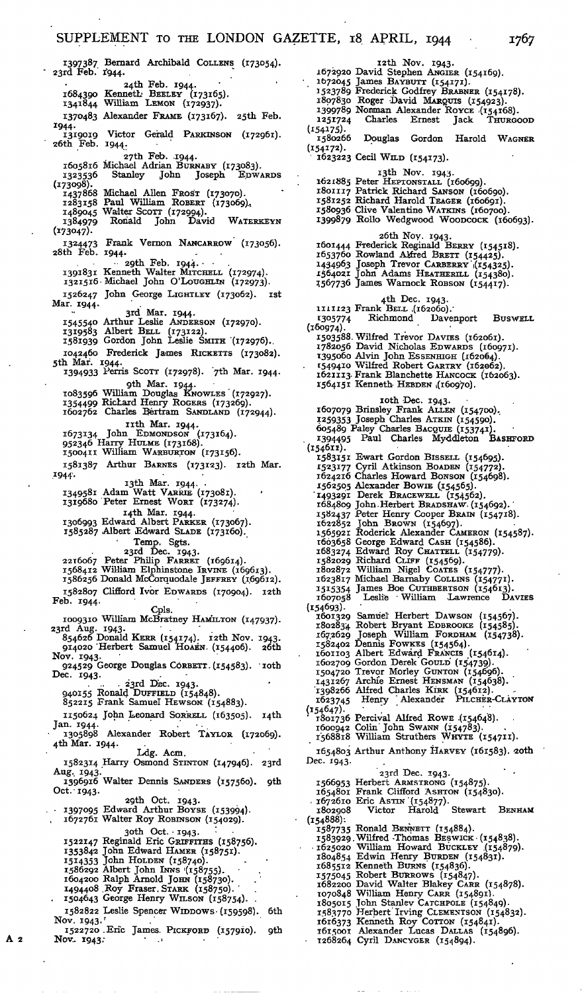1324473 28th Feb. Frank Vernon NANCARROW (173056). 1397387 Bernard Archibald COLLENS (173054). 23rd Feb.' 1944. 24th Feb. 1944.<br>1684390 Kenneth: BEELEY (173165).<br>1341844 William LEMON (172937). 1370483 Alexander FRAME (173167). 25th Feb. 1944. Victor Gerald PARKINSON (172961).  $1319019$  Victo<br>26th Feb. 1944. 27th Feb. 1944.<br>1605816 Michael Adrian Burnaby (173083).<br>1323536 Stanley John Joseph EDWARDS ---<br>132 (173098). 1437868 Michael Allen Frost (173070).<br>1283158 Paul William Robert (173069).<br>1489045 Walter Scorr (172994).<br>1384979 Ronald John David WATERKEYN (173047). 1944- •• 2gth Feb. 1944. - - *139\*83\** Kenneth Walter MITCHELL (172974). 1321516- Michael John O'LOUGHLIN (172973). 1526247 John George LIGHTLEY (173062). ist Mar. 1944. 3rd Mar. 1944.<br>1545540 Arthur Leslie ANDERSON (172970).<br>1319583 Albert BELL (173122).<br>1581939 Gordon John Leslie SMITH (172976). 1042460 Frederick James RICKETTS (173082). 5th Mar. 1944. 1394933 Ferris SCOTT (172978). '7th Mar. 1944. 9th Mar. 1944.<br>1083596 William Douglas KNOWLES (172927).<br>1354499 Richard Henry Rogers (173269).<br>1602762 Charles Bertram SANDLAND (172944). nth Mar. 1944. 1673134 John EDMONDSON (.173164). 952346 Harry HULME (173168). 1500411 William WARBURTON (173156). 1581387 Arthur BARNES (173123). i2th Mar. 1944. tik Mar. 1944.<br>1349581 Adam Watt Varrie (173081).<br>1319680 Peter Ernest Worr (173274). I4th Mar. 1944. 1306993 Edward Albert PARKER (173067). 1585287 Albert Edward SLADE (173160). Temp. Sgts.<br>2216067 Peter Philip FARRET (169614).<br>2216067 Peter Philip FARRET (169614). 1568412 William Elphinstone IRVINE (169613). 1586256 Donald McCorquodale JEFFREY (.169612). 1582807 Clifford Ivor EDWARDS (170904). i2th Feb. 1944. Cpls. 1009310 William McBratney HAMILTON (147937). 23rd Aug. 1943- 854626 Donald KERR (154174). i2th Nov 854626 Donald KERR (154174). 12th Nov. 1943.<br>914020 Herbert Samuel HoAEN. (154406). 26th Nov. 1943- 924529 George Douglas CORBETT. (154583). Dec. 1943. . .. . 23rd Dec. 1943. 940155 Ronald DUFFIELD (154848). 852215 Frank Samuel HEWSON. (154883). 1150624 John Leonard SorreLL (163505). 14th Jan. 1944.<br>1305898 Alexander Robert TAYLOR (172069). 4th Mar. 1944. Ldg. Acm. 1582314 Harry Osmond STINTON (147946). 23rd Aug. 1943. 1396916 Walter Dennis SANDERS (157560). *gih* Oct. 1943. 29th Oct. 1943. - I397O95 Edwa-rd Arthur BOYSE (153994). 1672761 Walter Roy ROBINSON (154029).  $\frac{3}{100}$  and  $\frac{1}{30}$ . 1522147 Reginald Eric GRIFFITHS (158756). 1353842 John Edward HAMER (158751). 1514353 John HOLDEN (158740).<br>1586292 Albert John Inns (158755).<br>1604200 Ralph Arnold JOHN (158730).<br>1494408 .Roy Fraser. STARK (158750).<br>1504643 George Henry WILSON (158754). 1582822 Leslie Spencer WIDDOWS- (159598). 6th Nov. 1943. *'* loth

1522720 .Eric James. PICKFORD (157910). gth Nov. 1943;

1672920 1672645 1523789 1807830 1399789 1251724  $(154175).$ 1580266 (154172). 1623223 Cecil WILD (154173). i2th Nov. 1943. David Stephen ANGIER (154169). James BayBUTT (154171).<br>Frederick Godfrey BraBNER (154178). Roger David MARQUIS (154923). Norman Alexander Royce (154168).<br>Charles Ernest Jack THURGOOD Douglas Gordon Harold WAGNER r 3th Nov. 1943.<br>1621885 Peter HEPTONSTALL (160699).<br>1801117 Patrick Richard Sanson (160699).<br>1581252 Richard Harold TEAGER (160691).<br>1580936 Clive Valentine WATKINS (160700).<br>1399879 Rollo Wedgwood WOODCOCK (160693). 26th Nov. 1943. 1601444 Frederick Reginald BERRY (154518). 1653760 Rowland Alfred BRETT (154425).<br>1434963 Joseph Trevor CARBERRY (154325).<br>1564021 John Adams HEATHERILL (154380).<br>1567736 James Warnock ROBSON (154417). 1111123 1305774 (160974). 1503588. 1782056 1395060 . I5494<sup>10</sup> 1621113. 1564151 4th Dec. 1943. Frank BELL ,(162060).' Richmond Davenport BUSWELL Wilfred Trevor DAVIES (162061).<br>David Nicholas EDWARDS (160971).<br>Alvin John ESSENHIGH (162064). Wilfred Robert GARTRY (162062). Frank Blanchette HANCOCK (162063). Kenneth- HEBDEN 1(160970). zoth Dec. 1943. 1607079 Brinsley Frank ALLEN (154700). 1259353 Joseph Charles ATKIN (154590). 605489 Paley Charles BACQUIE (153741). 1394495 Paul Charles Myddleton BASHFORD <sup>1394495</sup><br>.(154611) 1583151 Ewart Gordon BISSELL (154695). 1523177 Cyril Atkinson BOADEN (154772). 1624216 Charles Howard BONSON (154698). 1562505 Alexander BOWIE (154565). "1493291 Derek BRACEWELL (154562). 1684809 John.Herbert BRADSHAW. (154692).' 1582437 Peter Henry Cooper BRAIN (154718). 1622852 John BROWN (154697). 1 56592i Roderick Alexander CAMERON (154587). 1603658 George Edward Cash (154586).<br>1683274 Edward Roy Chartell (154779).<br>1582029 Richard CLIFF (154569).<br>1802872 William Nigel Coares (154777).<br>162387 Michael Barnaby Coll. 154777).<br>1515354 James Boe CUTHBERTSON (154613) (154693).<br>
1601329 Samuel Herbert Dawson (154567).<br>
1802834 Robert Bryant Ервкооке (154585).<br>
1672629 Joseph William Fокрным (154738).<br>
1582402 Dennis Fowkes (154564).<br>
1601103 Albert Edward Francis (154614). 1602709 Gordon Derek GOULD (154739).<br>1504720 Trevor Morley GUNTON (154696).<br>1431267 Archie Ernest HENSMAN (154638).<br>1398266 Alfred Charles KiRK (154612).<br>1623745 Henry Alexander Pitcher-ClAYTON (154647). ; ' 1801736 Percival Alfred ROWE .(154648). 1600942 Colin" John SWANN (154783). 1568818 William Struthers WHYTE (154711). 1654803 Arthur Anthony HARVEY (161583). 20th Dec. 1943- 23rd Dec. 1943.<br>Herbert ARMSTRONG (154875).<br>Frank Clifford ASHTON (154830).<br>Eric ASTIN (154877).<br>Victor Harold Stewart BENHAM 1566953 1654801 . 1672610 1802908  $(154888)$ : 1587735 1583929 • 1625020 1804854 1685512 1575045<br>1682200<br>1070848<br>1805015 1583770<br>1616373<br>1615001<br>1268264 Ronald BENNETT (154884).<br>Wilfred Thomas BESWICK (154838).<br>William Howard BUCKLEY (154879). Edwin Henry Burben (154831).<br>Kenneth Burns (154836).<br>Robert Burrows (154847).<br>David Walter Blakey CARR (154878). William Henry Carr (154891).<br>John Stanlev Carcupole (154849). Herbert Irving CLEMENTSON (154832). Kenneth Roy COTTON (154841). Alexander Lucas DALLAS (154896).<br>Cyril DANCYGER (154894).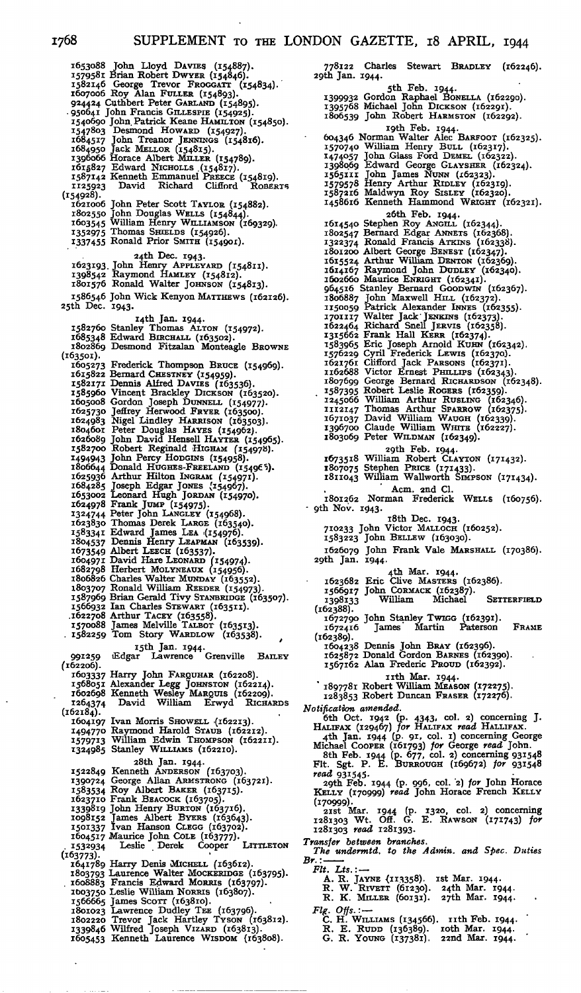1653088 John Lloyd DAVIES (154887).<br>
1579581 Brian Robert DWYER (1548846).<br>
1582146 George Trevor Frococarr (154834).<br>
1607006 Roy Alan Fuller (154893).<br>
924424 Cuthbert Peter GARLAND (154895).<br>
936641 John Francis GILLES  $(154928)$ . 1621006 John Peter Scott TAYLOR (154882). 1802550 John Douglas WELLS (154844). 1603545 William Henry WILLIAMSON (169329). 1352975 Thomas SHIELDS (154926). 1337455 Ronald Prior SMITH (154901). 24th Dec. 1943. . John Henry APPLEYARD (154811). Raymond HAMLEY (154812). Ronald Walter JOHNSON (154813). 1586546 John Wick Kenyon MATTHEWS (162126). 25th Dec. 1943. i4th Jan. 1944. Stanley Thomas ALTON (154972). Edward BIRCHALL (163502). Desmond Fitzalan Monteagle BROWNE 1623193 1398542 1801576 1582760 1685348 1802869 (163501). 1605273 1615822<br>1582171<br>1585960<br>1605008 1625730<br>1624983<br>1804601<br>1626089<br>1582700 1494943 1806644 1625936<br>1684285<br>1653002<br>1624978 1324744 1623830 1583341 1804537 1673549 1604971 1682798 1806826 1803707 1587969 1566932 .1622708 1570088 • 1582259 991259  $(162206)$ . 1603337 1568051 1602698<br>1264374 1264374<br>(162184). 1604197 1494770 I5797I3 1324985 1522849 1390724 1583534 1623710 1339819<br>1098152 1501337<br>1604517 . 1532934 (i63773)- 1641789 1803793 . 1608883 1003750<br>1566665<br>1801023<br>1802220 1339846 1605453 Frederick Thompson Bruce (154969).<br>Bernard CHESTNEY (154959).<br>Dennis Alfred Davies (163536).<br>Vincent Brackley DICKSON (163520).<br>Gordon Joseph DUNNELL (154977).<br>Jeffrey Herwood FRYER (163500). Nigel Lindley HARRISON (163503).<br>Peter Douglas HAYES (154962).<br>John David Hensell HAYTER (154965).<br>Robert Reginald HIGHAM (154978). John Percy HODGINS (154958).<br>Donald HUGHES-FREELAND (154965).<br>Arthur Hilton INGRAM (154971). Joseph Edgar Jones (154967).<br>Leonard Hugh Jordan (154970). Frank JUMP (154975).<br>
Peter John LANGLEY (154968).<br>
Thomas Derek LARGE (163340).<br>
Edward James LEA (154976).<br>
Edward James LEA (154976).<br>
Dennis Henry LEAPMAN (163539).<br>
Albert LEECH (163537).<br>
David Hare LEONARD (154974). 15th Jan. 1944. 15th Jan. 1944.<br>Edgar Lawrence Grenville BAILEY Harry John FARQUHAR (162208). Alexander Legg JOHNSTON (162214). Kenneth Wesley MARQUIS (162209). David William Erwyd RICHARDS Ivan Morris SHOWELL (162213).<br>Raymond Harold Staub (162212).<br>William Edwin THOMPSON (162211).<br>Stanley WILLIAMS (162210). 28th Jan. 1944. Kenneth ANDERSON (163703).<br>George Allan ARMSTRONG (163721).<br>Roy Albert BAKER (163715).<br>Frank BEACOCK (163705).<br>John Henry BURTON (163716). James Albert BYERS (163643). Ivan Hanson CLEGG (163702). Maurice John COLE (163777). Leslie Derek Cooper LITTLETON Harry Denis Michell (163612).<br>Laurence Walter Mockeringe (163795).<br>Francis Edward Morris (163797).<br>Leslie William Norris (163807). James Scorr (163810).<br>Lawrence Dudley TEE (163796).<br>Trevor Jack Hartley Tyson (163812). Wilfred Joseph VIZARD (163813). Kenneth Laurence WISDOM (163808).

778122 Charles Stewart BRADLEY (162246). 29th Jan. 1944. 5th Feb. 1944.<br>1399932 Gordon Raphael Bonella (162290).<br>1395768 Michael John Dickson (162291).<br>1806539 John Robert Harmston (162292). rgth Feb. 1944.<br>1979/140 Norman Walter Alec Barroor (162325).<br>1570740 William Henry ButL (162317).<br>1474057 John Glass Ford DEMEL (162322).<br>1398069 Edward George GLAYSHER (162322).<br>1565111 John James Nunn Rinber (162323).<br>1 26th Feb. 1944. 1614540 Stephen Roy ANGILL (162344). 1802547 Bernard Edgar ANNETS (162368). I 322374 Ronald Francis ATKINS (162338). 1801200 Albert George BENEST (162347). 1615524 Arthur William DENTON (162369). 1614167 Raymond John DUDLEY (162340). 1602660 Maurice ENRIGHT (162341). 964516 Stanley Bernard GOODWIN (162367). 1806887 John Maxwell HILL (162372). 1150059 Patrick Alexander INNES (162355). 1701117 Walter Jack JENKINS (162373).<br>1622464 Richard Snell JERVIS (162358).<br>1315662 Frank Hall KERR (162374).<br>1383965 Eric Joseph Arnold KURN (162342).<br>1583965 Eric Joseph Arnold KURN (162342).<br>1526888 Victor Ernest PHILL 1245066 William Arthur RusLing (162346).<br>1112147 Thomas Arthur SPARROW (162375).<br>1671037 David William WAUGH (162339).<br>1396700 Claude William WHITE (162227).<br>1803069 Peter WILDMAN (162349). 29th Feb. 1944.<br>1673518 William Robert CLAYTON (171432).<br>1807075 Stephen PRICE (171433).<br>1811043 William Wallworth SIMPSON (171434). Acm. 2nd Cl. 1801262 Norman Frederick WELLS (160756). • 9th Nov. 1943. i8th Dec. 1943. 710233 John Victor MALLOCH (160252). 1583223 John BELLEW (163030). 1626079 John Frank Vale MARSHALL (170386). 29th Jan. 1944. 4th Mar. 1944. 1623682 Eric Clive MASTERS (162386). 1566917 John CORMACK (162387). 1398133 William Michael SETTERFIELD<br>(162388). 1672790 John Stanley TWIGG (162391). 1672416 James Martin Paterson FRAME (162389). 1604238 Dennis John BRAY (162396). 1625872 Donald Gordon BARNES (162390). 1567162 Alan Frederic PROUD (162392). nth Mar. 1944. 1897781 Robert William MEASON (172275). 1283853 Robert Duncan FRASER (172276). *Notification amended.* 6th Oct. 1942 (p. 4343, col. 2) concerning J. HALIFAX (129467) *for* HALIFAX *read* HALLIFAX. 4th Jan. 1944 (p. 91, col. i) concerning George Michael COOPER (161793) *for* George *read* John. 8th Feb. 1944 (p. 677, col. 2) concerning 931548 Fit. Sgt. P. E. BURROUGH (169672) *for* 931548 *read* 93\*545- 2gth Feb. 1944 (p. 996, col. 2) *for* John Horace KELLY (170999) *read* John Horace French KELLY (170999)- 2ist Mar. 1944 (p- 1320, col. 2) concerning 1281303 Wt. Off. G. E. RAWSON (171743) *for* 1281303 *read* 1281393. *Transfer between branches. The undermtd. to the Admin, and Spec. Duties Br.: Fit. Us.: —* . A. R. JAYNE (113358). Ist Mar. 1944.<br>R. W. RIVETT (61230). 24th Mar. 1944.<br>R. K. MILLER (60131). 27th Mar. 1944.

*Fig. Offs.:* —<br> *C.* H. WILLIAMS (134566). 11th Feb. 1944.<br>
R. E. RUDD (136389). 10th Mar. 1944.<br>
G. R. YOUNG (137381). 22nd Mar. 1944.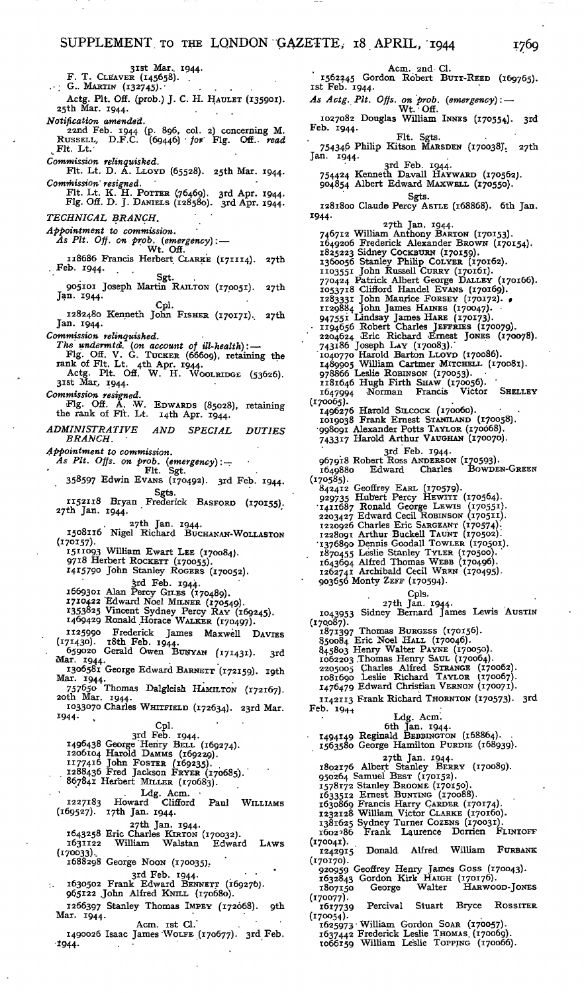31st Mar. 1944.<br>F. T. CLEAVER (145658).  $\cdot$   $\cdot$  G.. MARTIN (132745). Actg. Plt. Off. (prob.) J. C. H. HAULET (135901).<br>25th Mar. 1944. *Notification amended.* 22nd Feb. 1944 (p. 896, col. 2) concerning M. RUSSELL, D.F.C. (69446) • *for'* Fig. Off., *read* .Fit. Lt.- *Commission relinquished.* Fit. Lt. D. A. LLOYD (65528). 25th Mar. 1944. *Commission' resigned.* Fit. Lt. K. H. POTTER (.76469). 3rd Apr. 1944. Fig. Off. D. J. DANIELS (128580). 3rd Apr. 1944. *TECHNICAL BRANCH. ' ' Appointment to commission. As Pit. Off. on prob. (emergency):* — ' Wt. Off. 118686 Francis Herbert CLARKE (171114). 27th , Feb. 1944.  $\mathcal{L}$ Sgt. . 905101 Joseph Martin RAILTON (170051). 27th Jan. 1944. Cpl. 1282480 Kenneth John FISHER (170171). 27th Jan. 1944. *Commission relinquished. The undermtd. (on account of ill-health):* — Fig. Off. V. G. TUCKER (66609), retaining the rank of Fit. Lt. 4th Apr. 1944. Actg. Pit. Off. W. H. WOOLRIDGE (53626). 3ist Mar. 1944. *Commission resigned.* Fig. Off. A. W. EDWARDS (85028), retaining the rank of Fit. Lt. i4th Apr. 1944. *ADMINISTRATIVE AND SPECIAL DUTIES BRANCH. • Appointment to commission. As Pit. Offs. on prob. (emergency): —* Fit. Sgt. 358597 Edwin EVANS (170492). 3rd Feb. 1944. Sgts. ri52ii8 Bryan Frederick BASFORD (170155). 27th Jan. 1944. ' 27th Jan. 1944.<br>1508116 Nigel Richard BUCHANAN-WOLLASTON (170157). 1511093 William Ewart Lee (170084).<br>9718 Herbert Rockerr (170055). 1415790 John Stanley ROGERS (170052). 3rd Feb. 1944. 1669301 Alan Percy GILES (170489). 1710422 'Edward Noel MILNER (170549). 1353825 Vincent Sydney Percy RAY (169245). 1469429 Ronald Horace WALKER (170497). 1125990 Frederick James Maxwell DAVIES  $(171430)$ .  $18th$  Feb.  $1944$ . 659020 Gerald Owen BUNYAN (171431). 3rd Mar. 1944. 1306581 George Edward BARNETT (172159). igth Mar. 1944. 757650 Thomas Dalgleish HAMILTON (172167). 2oth Mar. 1944. I033°7o Charles WHITFIELD (172634). 23rd Mar. 1944-<br>
1496438 George Henry BELL (169274).<br>
1496438 George Henry BELL (1692274).<br>
1206104 Harold DAMMs (169239).<br>
1177416 John FOSTER (169235).<br>
1288436 Fred Jackson FRYER (170685).<br>
867841 Herbert MILLER (170683). Ldg. Acm.<br>1227183 Howard Clifford Paul WILLIAMS<br>(169527). 17th Jan. 1944. 27th Jan. 1944. 1643258 Eric Charles KIRTON (170032). 1631122 William Walstan Edward LAWS (170033).. 1688298 George NOON (170035). 3rd Feb. 1944.<br>1630502 Frank Edward BENNETT (169276).<br>165122 John Alfred KNILL (170680). 1266397 Stanley Thomas IMPEY (172668). gth Mar. 1944. Acm. ist Cl.' 1490026 Isaac James'WOLFE (170677). 3rd Feb.  $1944.$ 

Acm. 2nd- Cl. 1562245 Gordon Robert BUTT-REED (169765). ist Feb. 1944. As Actg. Plt. Offs. on prob. (emergency): — Wt. Off. 1027082 Douglas William INNES (170554). 3rd Feb. 1944.<br>Fit. Sgts.<br>754346 Philip Kitson MARSDEN (170038). 27th<br>Jan. 1944. 3rd Feb. 1944.<br>754424 Kenneth Davall HAYWARD (170562). 904854 Albert Edward MAXWELL (170550). Sgts. 1281800 Claude Percy ASTLE (168868). 6th Jan. 1944. 27th Jan. 1944.<br>
746712 William Anthony BaRTON (170153).<br>
1649206 Frederick Alexander BROWN (170154).<br>
1825223 Sidney CockBURN (170159).<br>
1360056 Stanley Philip CoLYER (170162).<br>
1103551 John Russell CURRY (170161).<br> 947551 Lindsay James HARE (170173).<br>1194656 Robert Charles JEFFRIES (170079).<br>2204624 Eric Richard Ernst Jones (170078).<br>743186 Joseph LAY (170083).<br>1040770 Harold Barton LLOVD (170086).<br>1489905 William Cartmer MITCHELL (1 (170065). 1496276 Harold SILCOCK (170060). 1019038 Frank Ernest STANILAND (170058). •998091 Alexander Potts TAYLOR (170668). 743317 Harold Arthur VAUGHAN (170070). 3rd Feb. 1944- 967918 Robert Ross ANDERSON (170593). 1649880 Edward Charles BOWDEN-GREEN (170585). 842412 Geoffrey EARL (170579). 929735 Hubert Percy HEWITT (170564). •1411687 Ronald George LEWIS (170551). 2203427 Edward Cecil ROBINSON (170511). 1220926 Charles Eric SARGEANT (170574).<br>1228091 Arthur Buckell TAUNT (170502).<br>1376890 Dennis Goodall TOWLER (170501).<br>1870455 Leslie Stanley TYLER (170500).<br>1643694 Alfred Thomas WEBB (170496).<br>1262741 Archibald Cecil WRE 903656 Monty ZEFF (170594). Cpls.<br>27th Jan. 1944.<br>2043953 Sidney Bernard James Lewis Austin (170.087). 1871397 Thomas Burgess (170156).<br>850084 Eric Noel Hall (170046).<br>845803 Henry Walter Payne (170050).<br>1062203 Thomas Henry SAUL (170064).<br>2035005 Charles Alfred STRANGE (170062).<br>1081690 Leslie Richard TAYLOR (170067).<br>1476 1142113 Frank Richard THORNTON (170573). 3rd  $Feb. 194+$ Ldg. Acm.<br>6th Jan. 1944.<br>1494149 Reginald BEBBINGTON (168864).<br>1563580 George Hamilton PURDIE (168939). 27th Jan. 1944. 1802176 Albert Stanley BERRY (170089). 950264 Samuel BEST (170152). 1578172 Stanley BROOME (170150). 1633512 Ernest BUNTING (170088). 1630869 Francis Harry CARDER (170174). 1232128 William Victor CLARKE (170160). 1381625 Sydney Turner Cozens (170031).<br>1602?86 Frank Laurence Dorrien FLINTOFF (170041). 1242915 Donald Alfred William FURBANK (170170). 920959 Geoffrey Henry James Goss (170043). 1632843 Gordon Kirk HAIGH (170176). 1807150 George Walter HARWOOD-JONES

1807150<br>(170077).<br>1617739 Percival Stuart Bryce ROSSITER (170054).

1625973 • William Gordon SOAR (170057). 1637442 Frederick Leslie THOMAS. (170069). 1066159 William Leslie TOPPING (170066).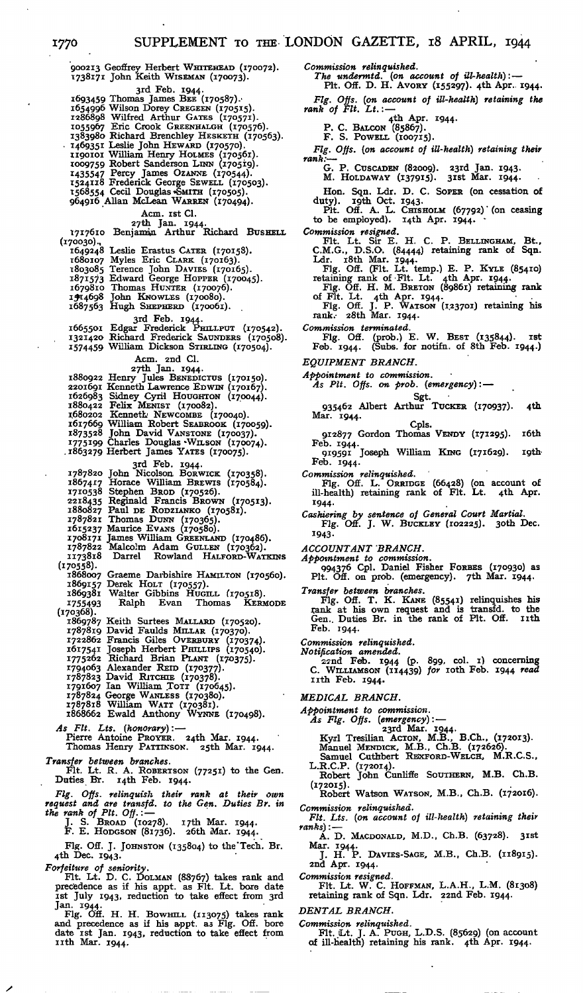900213 Geoflrey Herbert WHTTEHEAD (170072). 1738171 John Keith WISEMAN (170073). 3rd Feb. 1944.<br>1693459 Thomas James BEE (170587).<br>1654996 Wilson Dorey CREGEEN (170575).<br>1086898 Wilfred Arthur GATES (1705771).<br>1055967 Eric Crook GREENHALGH (170576).<br>1383980 Richard Brenchley HESKETH (170563). - 1469351 Leslie John HEWARD (170570). 1190101 William Henry HOLMES (170561). 1009759 Robert Sanderson LINN (170519). 1435547 Percy James OZANNE (170544). 1524118 Frederick George SEWELL (170503). ^568554 Cecil Douglas «SMITH (170505). 964916 Allan McLean WARREN (170494). Acm. 1st Cl.<br>27th Jan. 1944.<br>2717610 Benjamin Arthur Richard Busnett. (170030)., 1649248 Leslie Erastus CATER (170158).<br>1680107 Myles Eric CLARK (170163).<br>1803085 Terence John DAVIES (170165).<br>1871573 Edward George Hoppens (170045).<br>197880 Thomas HuxiER (170076).<br>1974698 John KNOWLES (170080).<br>1687563 3rd Feb. 1944.<br>1665501 Edgar Frederick PHILLPUT (170542).<br>1321420 Richard Frederick SAUNDERS (170508).<br>1574459 William Dickson STIRLING (170504). Acm. 2nd Cl. 27th Jan. 1944.<br>
1880922 Henry Jules BENEDICTUS (170150).<br>
2201691 Kenneth Lawrence EDWIN (170167).<br>
1626983 Sidney Cyril Houghron (170044).<br>
1880422 Felix MENIST (170082).<br>
1680202 Kenneth NEWCOMBE (170040). 1617669 William Robert SEABROOK (170059).<br>1873528 John David VANSTONE (170037).<br>1775199 Charles Douglas WILSON (170074).<br>1863279 Herbert James YATES (170075). 3rd Feb. 1944.<br>1787820 John Nicolson Borwick (170358).<br>1867417 Horace William Brewrs (170584).<br>1710338 Stephen Bron (170526).<br>1218435 Reginald Francis Brown (170513).<br>1880827 Paul DE RODZIANKO (170581).<br>1880827 Paul DE ROD (170558). 1868007 Graeme Darbishire HAMILTON (170560). 1869157 Derek HOLT (170557). 1869381 Walter Gibbins HUGILL (170518). 1755493 Ralph Evan Thomas KERMODE<br>
(170368).<br>
1869787 Keith Surtees MALLARD (170520).<br>
1787819 David Faulds MILLAR (170370).<br>
1722862 Francis Giles OvERBURY (170374).<br>
1617541 Joseph Herbert PHILLIPS (170340).<br>
1775262 Ri 1787823 David RITCHIE (170378).<br>1791607 Ian William Tott (170645). 1787824 George WANLESS (170380). 1787818 William WATT (170381). 1868662 Ewald Anthony WYNNE (170498). *As Fit. Lts. (honorary):* — Pierre Antoine PROYER. 24th Mar. 1944. Thomas Henry PATTINSON. 25th Mar. 1944. *Transfer between branches.* Fit. Lt. R. A. ROBERTSON (77251) to the Gen.

Duties Br. 14th Feb. 1944.

*Fig. Offs. relinquish their rank at their own request and are transfd. to the Gen. Duties Br. in the rank of Pit. Oft.: —* J. S. BROAD (10278). i7th Mar. 1944. F. E. HODGSON (81736). 26th Mar. 1944.

Fig. Off. J. JOHNSTON (135804) to the'Tech. Br. 4th Dec. 1943.

*Forfeiture of seniority.* Fit. Lt. D. C. DOLMAN (88767) takes rank and

precedence as if his appt. as Fit. Lt. bore date<br>ist July 1943, reduction to take effect from 3rd<br>Jan. 1944.<br>Fig. Off. H. H. BowHLL (113075) takes rank<br>and precedence as if his appt. as Fig. Off. bore<br>date ist Jan. 1943, r

*Commission relinquished. The undermtd. (on account of Hi-health):* — Pit. Off. D. H. AVORY (155297). 4th Apr.. 1944. *Fig. Offs. (on account of ill-health) retaining the rank of Fit. Lt.:* — 4th Apr. 1944. P. C. BALCON (85867). F. S. POWELL (100715). *Fig. Offs. (on account of ill-health) retaining their rank:*— .<br>G. P. Cuscapen (82009). 23rd Jan. 1943.<br>M. Holdaway (137915). 31st Mar. 1944. Hon. Sqn. Ldr. D. C. SOPER (on cessation of duty). 19th Oct. 1943.<br>Pit. Off. A. L. CHISHOLM (67792) (on ceasing to be employed).  $14$ th Apr.  $1944$ . *Commission resigned.* Fit. Lt. Sir E. H. C. P. BELLINGHAM, Bt., C.M.G., D.S.O. (84444) retaining rank of Sqn. Ldr. 18th Mar. 1944.<br>
Fig. Off. (Fit. Lt. temp.) E. P. KYLE (85410)<br>
retaining rank of Fit. Lt. 4th Apr. 1944.<br>
Fig. Off. H. M. BRETON (89861) retaining rank<br>
of Fit. Lt. 4th Apr. 1944.<br>
Fig. Off. J. P. WATSON (123701) ret *Commission terminated.* Fig. Off. (prob.) E. W. BEST (135844). ist Feb. 1944. (Subs, for notifn. of 8th Feb. 1944.) *EQUIPMENT BRANCH. Appointment to commission. As Pit. Offs. on prob. (emergency):* — Sgt.<br>935462 Albert Arthur Tucker (170937). 4th Mar. 1944. Cpls. 912877 Gordon Thomas VENDY (171295). i6th Feb. 1944. 9i959i Joseph William KING (171629). igth-Feb. 1944. *Commission relinquished.* Fig. Off. L. ORRIDGE (66428) (on account of ill-health) retaining rank of Fit. Lt. 4th Apr. \*944- *Cashiering by sentence of General Court Martial.* Fig. Off. J. W. BUCKLEY (102225). 3oth Dec. 1943- *ACCOUNTANT BRANCH. Appointment to commission.* 994376 Cpl. Daniel Fisher FORBES (170930) as Pit. Off. on prob. (emergency). 7th Mar. 1944. *Transfer between branches.* Fig. Off. T. K. KANE (85541) relinquishes his rank at his own request and is transfd. to the Gen.. Duties Br. in the rank of Pit. Off. nth Feb. 1944- *Commission relinquished. Notification amended.* 2?nd Feb. 1944 (P- <sup>8</sup>99. col. i) concerning C. WILLIAMSON (114439) *for* loth Feb. 1944 *read* 11th Feb. 1944. *MEDICAL BRANCH. Appointment to commission.*<br> *As Fig. Offs. (emergency)*: —<br>
23rd Mar. 1944.<br>
Kyrl Tresilian ACTON, M.B., B.Ch., (172013).<br>
Manuel MENDICK, M.B., Ch.B. (172626).<br>
Samuel Cuthbert REXFORD-WELCH, M.R.C.S., L.R.C.P. (172014). Robert John Cunliffe SOUTHERN, M.B. Ch.B. (172015). Robert Watson WATSON, M.B., Ch.B. (172016). *Commission relinquished. Fit. Lts. (on account of ill-health) retaining their ranks):* — A. D. MACDONALD, M.D., Ch.B. (63728). 3ist

Mar. 1944. J. H. P. DAVIES-SAGE, M.B., Ch.B. (118915).

2nd Apr. 1944.

*Commission resigned.* Fit. Lt. W. C. HOFFMAN, L.A.H., L.M. (81308) retaining rank of Sqn. Ldr. 22nd Feb. 1944-

*DENTAL BRANCH.*

*Commission relinquished.* Fit. (Lt. J. A. PUGH, L.D.S. (85629) (on account of ill-health) retaining his rank. 4th Apr. 1944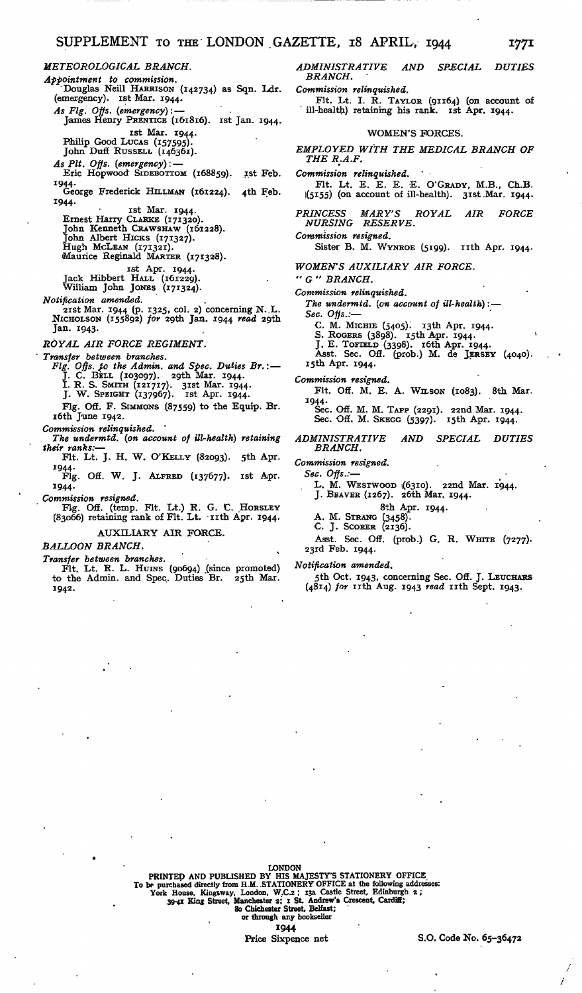*METEOROLOGICAL BRANCH. Appointment to commission.* 'Douglas Neill HARRISON (142734) as Sqn. Ldr. (emergency), ist Mar. 1944. *As Fig. Offs. (emergency):* — James Henry PRENTICE (161816). ist Jan. 1944. ist Mar. 1944. Philip Good LUCAS (157595). John Dufi RUSSELL (146361). *As Pit. Offs. (emergency):* — Eric Hopwood SIDEBOTTOM (168859). ist Feb. 1944.<br>George Frederick HILLMAN (161224). 4th Feb.<br>1944. ist Mar. 1944. Ernest Harry CLARKE (171320). John Kenneth CRAWSHAW (161228). John Albert HICKS (171327). Hugh MCLEAN (171321). Maurice Reginald MARTER (171326). ist Apr. 1944. Jack Hibbert HALL (161229). William John JONES (171324). *Notification amended.* 2ist Mar. 1944 (p. 1325, col. 2) concerning N. .L. NICHOLSON (155892) *for* 29th Jan. 1944 *read* 29th Jan. 1943. *ROYAL AIR FORCE REGIMENT. Transfer between branches. Fig. Offs. }o the Admin, and Spec. Duties Br.:* — J. C. BELL (103097). 2gth Mar. 1944. I. R. S. SMITH (121717). 3ist Mar. 1944. J. W. SPEIGHT (137967). ist Apr. 1944. Fig. Off. F. SIMMONS (87559) to the Equip. Br. 16th June 1942. *Commission relinquished. The undermtd. (on account of ill-health) retaining their ranks:*— Fit. Lt. J. H. W. O'KELLY (82093). 5th Apr. 1944. Fig. Off. W. J. ALFRED (137677). ist Apr. 1944.

*Commission resigned.* Fig. Off. (temp. Fit. Lt.) R. G. C. HORSLEY (83066) retaining rank of Fit. Lt. -nth Apr. 1944.

AUXILIARY AIR FORCE.

BALLOON BRANCH.

*Transfer between branches.* Fit. Lt. R. L. HUINS (90694) (since promoted) to the Admin. and Spec. Duties Br. 25th Mar. 1942.

*ADMINISTRATIVE AND SPECIAL DUTIES BRANCH.*

*Commission relinquished.*

Fit. Lt. I. R. TAYLOR (91164) (on account of ill-health) retaining his rank, ist Apr. 1944.

### WOMEN'S FORCES.

*EMPLOYED WITH THE MEDICAL BRANCH OF THE R:A.F.*

*Commission relinquished. ' •* Fit. Lt. E. E. E. E. O'GRADY, M.B., Ch.B. 1(5\*55) (on account of ill-health). 3ist.Mar. 1944.

*PRINCESS MARY'S ROYAL AIR FORCE NURSING RESERVE.*

*Commission resigned.*

Sister B. M. WYNROE (5199). 11th Apr. 1944.

*WOMEN'S AUXILIARY AIR FORCE.*

*" G " BRANCH.*

*Commission relinquished.*

*The undermtd. (on account of ill-health):* — *Sec. Offs.:*—

C. M. MICHIE (5405)! i3th Apr. 1944.

S. ROGERS (3898). Isth Apr. 1944.<br>J. E. TOFIELD (3398). 16th Apr. 1944.<br>Asst. Sec. Off. (prob.) M. de JERSEY (4040). i5th Apr. 1944.

*Commission resigned.*

Flt. Off. M. E. A. WILSON (1083). 8th Mar. 1944.

Sec. Off. M. M. TAPP (2291). 22nd Mar. 1944. Sec. Off. M. SKEGG (5397). i5th Apr. 1944.

#### *ADMINISTRATIVE AND SPECIAL DUTIES BRANCH.*

*Commission resigned.*

*Sec. Offs.:*—

L. M. WESTWOOD 1(6310). 22nd Mar. 1944. J. BEAVER (1267). 26th Mar. 1944.

- - 8th Apr. 1944.

A. M. STRANG (3458). C. J. SCORER (2136).

Asst. Sec. Off. (prob.) G. R. WHITE (7277). 23rd Feb. 1944.

*Notification amended.*

5th Oct. 1943, concerning Sec. Off. J. LEUCHARS (4814) *for* nth Aug. 1943 *read* nth Sept. 1943.

LONDON<br>
IONDON<br>
To be purchased directly from H.M. STATIONERY OFFICE at the following addresses:<br>
To be purchased directly from H.M. STATIONERY OFFICE at the following addresses:<br>
York House, Kingsway, London, W.C.2; 13a C 1944

Price Sixpence net S.O. Code No. 65-36472